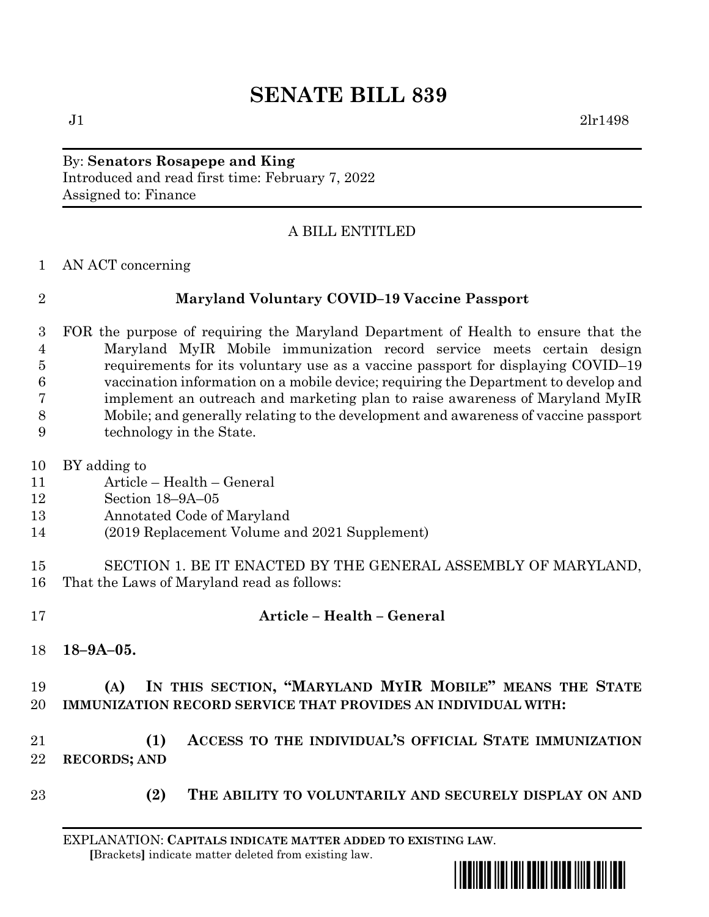# **SENATE BILL 839**

### By: **Senators Rosapepe and King** Introduced and read first time: February 7, 2022 Assigned to: Finance

## A BILL ENTITLED

AN ACT concerning

### **Maryland Voluntary COVID–19 Vaccine Passport**

- FOR the purpose of requiring the Maryland Department of Health to ensure that the Maryland MyIR Mobile immunization record service meets certain design requirements for its voluntary use as a vaccine passport for displaying COVID–19 vaccination information on a mobile device; requiring the Department to develop and implement an outreach and marketing plan to raise awareness of Maryland MyIR Mobile; and generally relating to the development and awareness of vaccine passport technology in the State.
- BY adding to
- Article Health General
- Section 18–9A–05
- Annotated Code of Maryland
- (2019 Replacement Volume and 2021 Supplement)
- SECTION 1. BE IT ENACTED BY THE GENERAL ASSEMBLY OF MARYLAND, That the Laws of Maryland read as follows:
- **Article – Health – General**
- **18–9A–05.**

## **(A) IN THIS SECTION, "MARYLAND MYIR MOBILE" MEANS THE STATE IMMUNIZATION RECORD SERVICE THAT PROVIDES AN INDIVIDUAL WITH:**

- **(1) ACCESS TO THE INDIVIDUAL'S OFFICIAL STATE IMMUNIZATION RECORDS; AND**
- 
- **(2) THE ABILITY TO VOLUNTARILY AND SECURELY DISPLAY ON AND**

EXPLANATION: **CAPITALS INDICATE MATTER ADDED TO EXISTING LAW**.  **[**Brackets**]** indicate matter deleted from existing law.